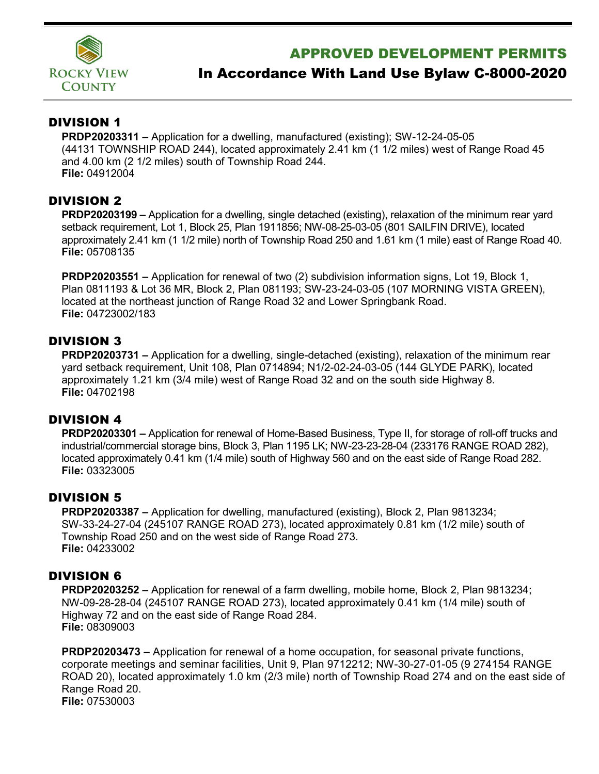

## APPROVED DEVELOPMENT PERMITS

# In Accordance With Land Use Bylaw C-8000-2020

### DIVISION 1

**PRDP20203311 –** Application for a dwelling, manufactured (existing); SW-12-24-05-05 (44131 TOWNSHIP ROAD 244), located approximately 2.41 km (1 1/2 miles) west of Range Road 45 and 4.00 km (2 1/2 miles) south of Township Road 244. **File:** 04912004

### DIVISION 2

**PRDP20203199 –** Application for a dwelling, single detached (existing), relaxation of the minimum rear yard setback requirement, Lot 1, Block 25, Plan 1911856; NW-08-25-03-05 (801 SAILFIN DRIVE), located approximately 2.41 km (1 1/2 mile) north of Township Road 250 and 1.61 km (1 mile) east of Range Road 40. **File:** 05708135

**PRDP20203551 –** Application for renewal of two (2) subdivision information signs, Lot 19, Block 1, Plan 0811193 & Lot 36 MR, Block 2, Plan 081193; SW-23-24-03-05 (107 MORNING VISTA GREEN), located at the northeast junction of Range Road 32 and Lower Springbank Road. **File:** 04723002/183

### DIVISION 3

**PRDP20203731 –** Application for a dwelling, single-detached (existing), relaxation of the minimum rear yard setback requirement, Unit 108, Plan 0714894; N1/2-02-24-03-05 (144 GLYDE PARK), located approximately 1.21 km (3/4 mile) west of Range Road 32 and on the south side Highway 8. **File:** 04702198

### DIVISION 4

**PRDP20203301 –** Application for renewal of Home-Based Business, Type II, for storage of roll-off trucks and industrial/commercial storage bins, Block 3, Plan 1195 LK; NW-23-23-28-04 (233176 RANGE ROAD 282), located approximately 0.41 km (1/4 mile) south of Highway 560 and on the east side of Range Road 282. **File:** 03323005

#### DIVISION 5

**PRDP20203387 –** Application for dwelling, manufactured (existing), Block 2, Plan 9813234; SW-33-24-27-04 (245107 RANGE ROAD 273), located approximately 0.81 km (1/2 mile) south of Township Road 250 and on the west side of Range Road 273. **File:** 04233002

### DIVISION 6

**PRDP20203252 –** Application for renewal of a farm dwelling, mobile home, Block 2, Plan 9813234; NW-09-28-28-04 (245107 RANGE ROAD 273), located approximately 0.41 km (1/4 mile) south of Highway 72 and on the east side of Range Road 284. **File:** 08309003

**PRDP20203473 –** Application for renewal of a home occupation, for seasonal private functions, corporate meetings and seminar facilities, Unit 9, Plan 9712212; NW-30-27-01-05 (9 274154 RANGE ROAD 20), located approximately 1.0 km (2/3 mile) north of Township Road 274 and on the east side of Range Road 20. **File:** 07530003